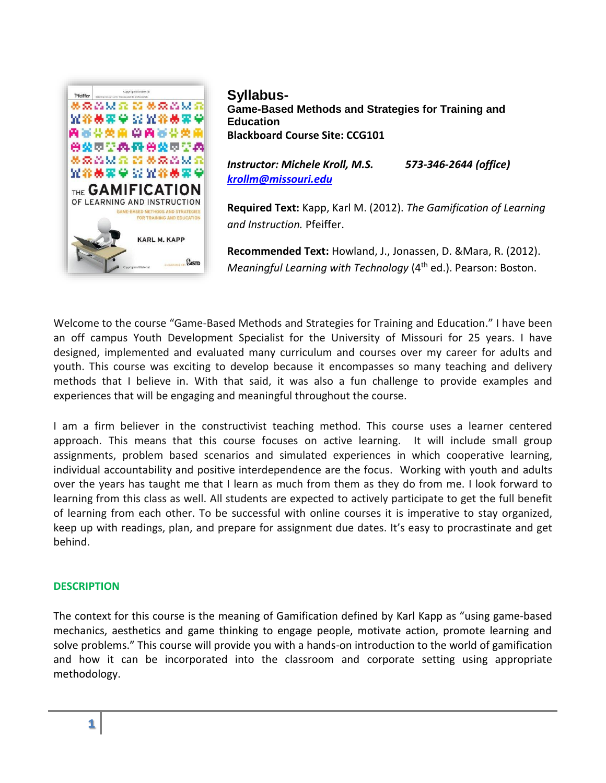

**Syllabus-Game-Based Methods and Strategies for Training and Education Blackboard Course Site: CCG101**

*Instructor: Michele Kroll, M.S. 573-346-2644 (office) [krollm@missouri.edu](mailto:krollm@missouri.edu)*

**Required Text:** Kapp, Karl M. (2012). *The Gamification of Learning and Instruction.* Pfeiffer.

**Recommended Text:** Howland, J., Jonassen, D. &Mara, R. (2012). *Meaningful Learning with Technology* (4<sup>th</sup> ed.). Pearson: Boston.

Welcome to the course "Game-Based Methods and Strategies for Training and Education." I have been an off campus Youth Development Specialist for the University of Missouri for 25 years. I have designed, implemented and evaluated many curriculum and courses over my career for adults and youth. This course was exciting to develop because it encompasses so many teaching and delivery methods that I believe in. With that said, it was also a fun challenge to provide examples and experiences that will be engaging and meaningful throughout the course.

I am a firm believer in the constructivist teaching method. This course uses a learner centered approach. This means that this course focuses on active learning. It will include small group assignments, problem based scenarios and simulated experiences in which cooperative learning, individual accountability and positive interdependence are the focus. Working with youth and adults over the years has taught me that I learn as much from them as they do from me. I look forward to learning from this class as well. All students are expected to actively participate to get the full benefit of learning from each other. To be successful with online courses it is imperative to stay organized, keep up with readings, plan, and prepare for assignment due dates. It's easy to procrastinate and get behind.

#### **DESCRIPTION**

The context for this course is the meaning of Gamification defined by Karl Kapp as "using game-based mechanics, aesthetics and game thinking to engage people, motivate action, promote learning and solve problems." This course will provide you with a hands-on introduction to the world of gamification and how it can be incorporated into the classroom and corporate setting using appropriate methodology.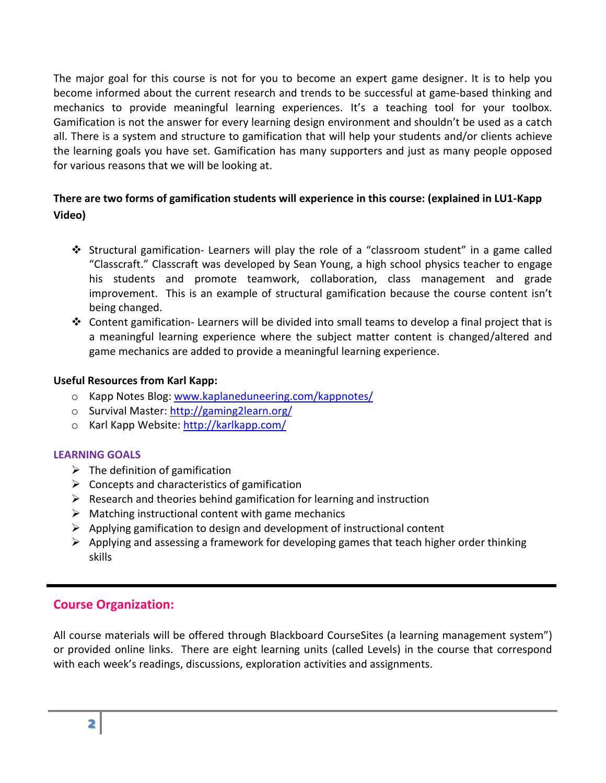The major goal for this course is not for you to become an expert game designer. It is to help you become informed about the current research and trends to be successful at game-based thinking and mechanics to provide meaningful learning experiences. It's a teaching tool for your toolbox. Gamification is not the answer for every learning design environment and shouldn't be used as a catch all. There is a system and structure to gamification that will help your students and/or clients achieve the learning goals you have set. Gamification has many supporters and just as many people opposed for various reasons that we will be looking at.

# **There are two forms of gamification students will experience in this course: (explained in LU1-Kapp Video)**

- Structural gamification- Learners will play the role of a "classroom student" in a game called "Classcraft." Classcraft was developed by Sean Young, a high school physics teacher to engage his students and promote teamwork, collaboration, class management and grade improvement. This is an example of structural gamification because the course content isn't being changed.
- $\div$  Content gamification-Learners will be divided into small teams to develop a final project that is a meaningful learning experience where the subject matter content is changed/altered and game mechanics are added to provide a meaningful learning experience.

#### **Useful Resources from Karl Kapp:**

- o Kapp Notes Blog: [www.kaplaneduneering.com/kappnotes/](http://www.kaplaneduneering.com/kappnotes/)
- o Survival Master[: http://gaming2learn.org/](http://gaming2learn.org/)
- o Karl Kapp Website:<http://karlkapp.com/>

### **LEARNING GOALS**

- $\triangleright$  The definition of gamification
- $\triangleright$  Concepts and characteristics of gamification
- $\triangleright$  Research and theories behind gamification for learning and instruction
- $\triangleright$  Matching instructional content with game mechanics
- $\triangleright$  Applying gamification to design and development of instructional content
- $\triangleright$  Applying and assessing a framework for developing games that teach higher order thinking skills

# **Course Organization:**

All course materials will be offered through Blackboard CourseSites (a learning management system") or provided online links. There are eight learning units (called Levels) in the course that correspond with each week's readings, discussions, exploration activities and assignments.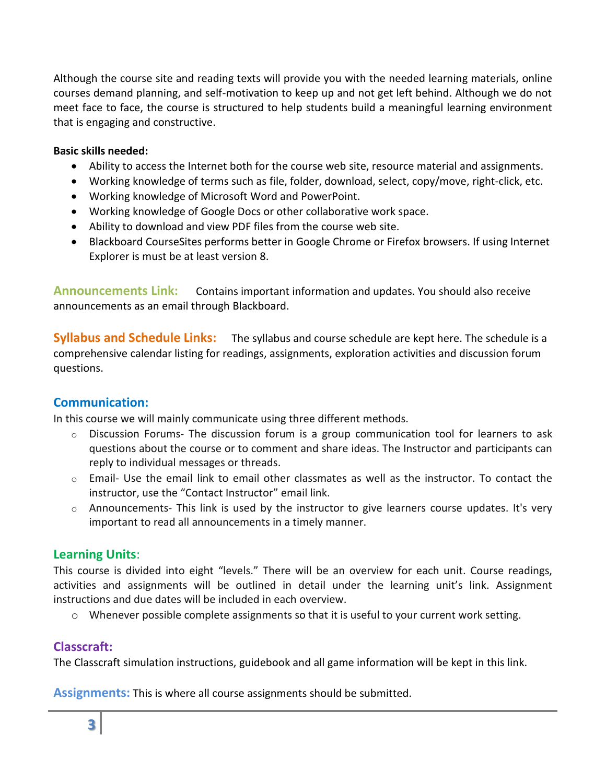Although the course site and reading texts will provide you with the needed learning materials, online courses demand planning, and self-motivation to keep up and not get left behind. Although we do not meet face to face, the course is structured to help students build a meaningful learning environment that is engaging and constructive.

#### **Basic skills needed:**

- Ability to access the Internet both for the course web site, resource material and assignments.
- Working knowledge of terms such as file, folder, download, select, copy/move, right-click, etc.
- Working knowledge of Microsoft Word and PowerPoint.
- Working knowledge of Google Docs or other collaborative work space.
- Ability to download and view PDF files from the course web site.
- Blackboard CourseSites performs better in Google Chrome or Firefox browsers. If using Internet Explorer is must be at least version 8.

**Announcements Link:** Contains important information and updates. You should also receive announcements as an email through Blackboard.

**Syllabus and Schedule Links:** The syllabus and course schedule are kept here. The schedule is a comprehensive calendar listing for readings, assignments, exploration activities and discussion forum questions.

# **Communication:**

In this course we will mainly communicate using three different methods.

- $\circ$  Discussion Forums- The discussion forum is a group communication tool for learners to ask questions about the course or to comment and share ideas. The Instructor and participants can reply to individual messages or threads.
- $\circ$  Email- Use the email link to email other classmates as well as the instructor. To contact the instructor, use the "Contact Instructor" email link.
- $\circ$  Announcements- This link is used by the instructor to give learners course updates. It's very important to read all announcements in a timely manner.

# **Learning Units**:

This course is divided into eight "levels." There will be an overview for each unit. Course readings, activities and assignments will be outlined in detail under the learning unit's link. Assignment instructions and due dates will be included in each overview.

o Whenever possible complete assignments so that it is useful to your current work setting.

# **Classcraft:**

The Classcraft simulation instructions, guidebook and all game information will be kept in this link.

**Assignments:** This is where all course assignments should be submitted.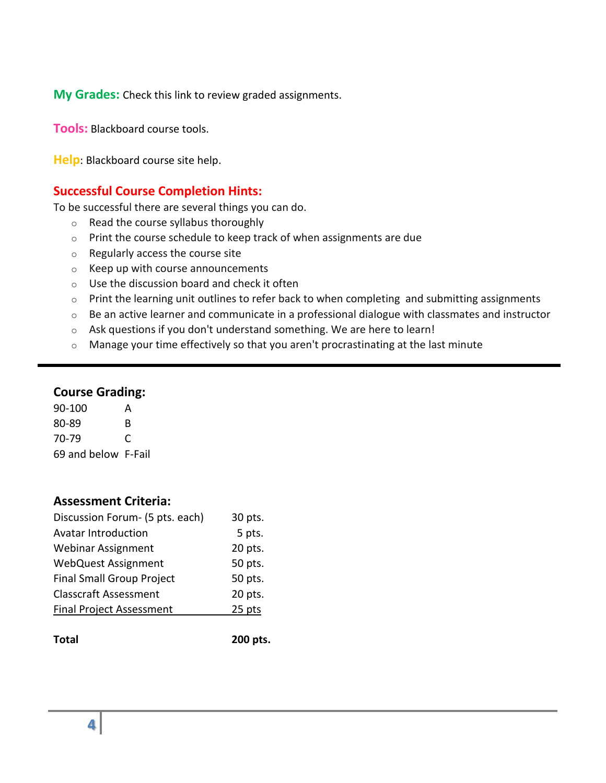**My Grades:** Check this link to review graded assignments.

**Tools:** Blackboard course tools.

**Help**: Blackboard course site help.

# **Successful Course Completion Hints:**

To be successful there are several things you can do.

- o Read the course syllabus thoroughly
- o Print the course schedule to keep track of when assignments are due
- o Regularly access the course site
- o Keep up with course announcements
- o Use the discussion board and check it often
- $\circ$  Print the learning unit outlines to refer back to when completing and submitting assignments
- o Be an active learner and communicate in a professional dialogue with classmates and instructor
- o Ask questions if you don't understand something. We are here to learn!
- o Manage your time effectively so that you aren't procrastinating at the last minute

### **Course Grading:**

90-100 A 80-89 B 70-79 C 69 and below F-Fail

# **Assessment Criteria:**

| Discussion Forum- (5 pts. each)  | 30 pts. |
|----------------------------------|---------|
| <b>Avatar Introduction</b>       | 5 pts.  |
| <b>Webinar Assignment</b>        | 20 pts. |
| <b>WebQuest Assignment</b>       | 50 pts. |
| <b>Final Small Group Project</b> | 50 pts. |
| <b>Classcraft Assessment</b>     | 20 pts. |
| Final Project Assessment         | 25 pts  |
|                                  |         |

**Total 200 pts.**